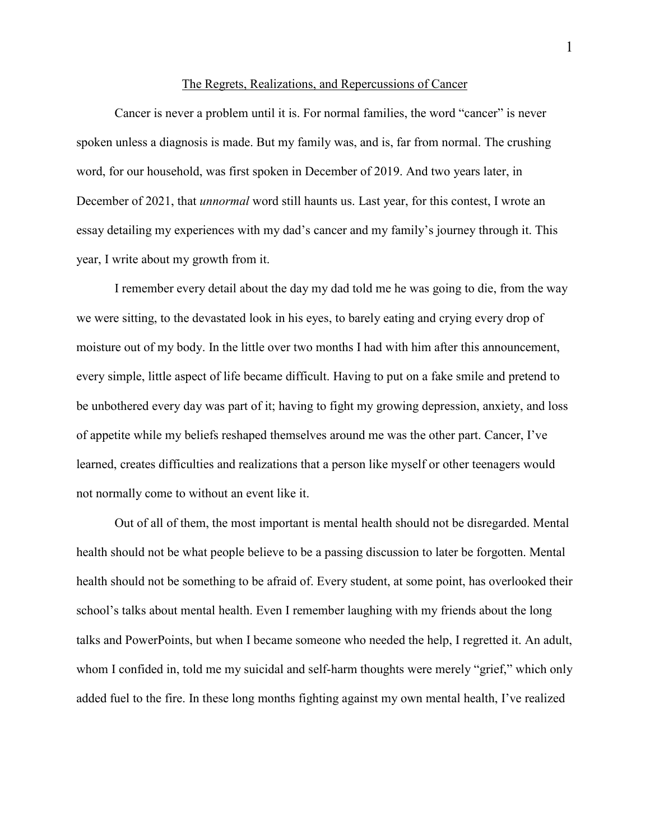## The Regrets, Realizations, and Repercussions of Cancer

Cancer is never a problem until it is. For normal families, the word "cancer" is never spoken unless a diagnosis is made. But my family was, and is, far from normal. The crushing word, for our household, was first spoken in December of 2019. And two years later, in December of 2021, that *unnormal* word still haunts us. Last year, for this contest, I wrote an essay detailing my experiences with my dad's cancer and my family's journey through it. This year, I write about my growth from it.

I remember every detail about the day my dad told me he was going to die, from the way we were sitting, to the devastated look in his eyes, to barely eating and crying every drop of moisture out of my body. In the little over two months I had with him after this announcement, every simple, little aspect of life became difficult. Having to put on a fake smile and pretend to be unbothered every day was part of it; having to fight my growing depression, anxiety, and loss of appetite while my beliefs reshaped themselves around me was the other part. Cancer, I've learned, creates difficulties and realizations that a person like myself or other teenagers would not normally come to without an event like it.

Out of all of them, the most important is mental health should not be disregarded. Mental health should not be what people believe to be a passing discussion to later be forgotten. Mental health should not be something to be afraid of. Every student, at some point, has overlooked their school's talks about mental health. Even I remember laughing with my friends about the long talks and PowerPoints, but when I became someone who needed the help, I regretted it. An adult, whom I confided in, told me my suicidal and self-harm thoughts were merely "grief," which only added fuel to the fire. In these long months fighting against my own mental health, I've realized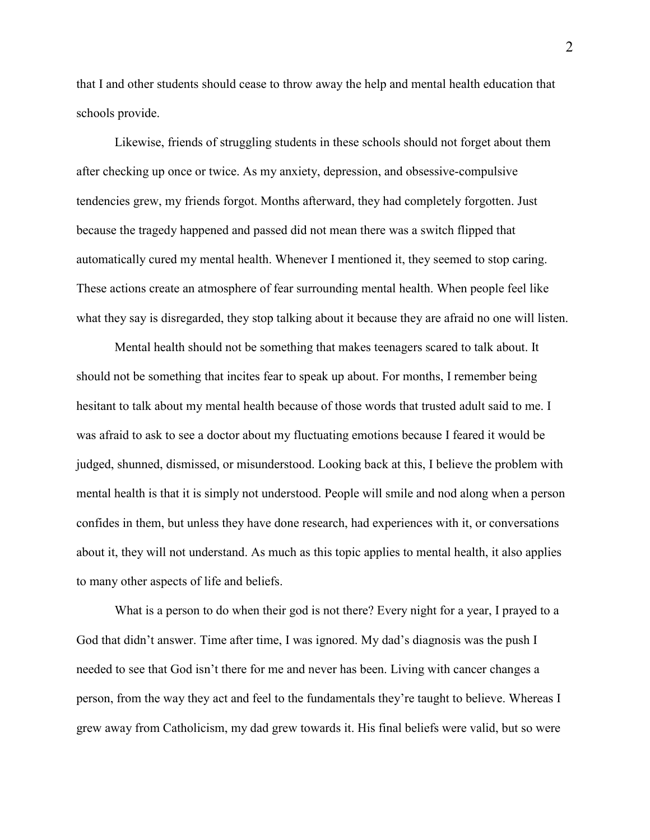that I and other students should cease to throw away the help and mental health education that schools provide.

Likewise, friends of struggling students in these schools should not forget about them after checking up once or twice. As my anxiety, depression, and obsessive-compulsive tendencies grew, my friends forgot. Months afterward, they had completely forgotten. Just because the tragedy happened and passed did not mean there was a switch flipped that automatically cured my mental health. Whenever I mentioned it, they seemed to stop caring. These actions create an atmosphere of fear surrounding mental health. When people feel like what they say is disregarded, they stop talking about it because they are afraid no one will listen.

Mental health should not be something that makes teenagers scared to talk about. It should not be something that incites fear to speak up about. For months, I remember being hesitant to talk about my mental health because of those words that trusted adult said to me. I was afraid to ask to see a doctor about my fluctuating emotions because I feared it would be judged, shunned, dismissed, or misunderstood. Looking back at this, I believe the problem with mental health is that it is simply not understood. People will smile and nod along when a person confides in them, but unless they have done research, had experiences with it, or conversations about it, they will not understand. As much as this topic applies to mental health, it also applies to many other aspects of life and beliefs.

What is a person to do when their god is not there? Every night for a year, I prayed to a God that didn't answer. Time after time, I was ignored. My dad's diagnosis was the push I needed to see that God isn't there for me and never has been. Living with cancer changes a person, from the way they act and feel to the fundamentals they're taught to believe. Whereas I grew away from Catholicism, my dad grew towards it. His final beliefs were valid, but so were